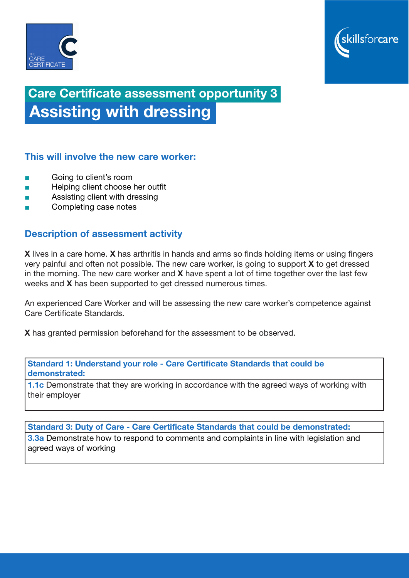



# Care Certificate assessment opportunity 3 Assisting with dressing

## This will involve the new care worker:

- Going to client's room
- Helping client choose her outfit
- Assisting client with dressing
- Completing case notes

## Description of assessment activity

X lives in a care home. X has arthritis in hands and arms so finds holding items or using fingers very painful and often not possible. The new care worker, is going to support  $X$  to get dressed in the morning. The new care worker and  $X$  have spent a lot of time together over the last few weeks and X has been supported to get dressed numerous times.

An experienced Care Worker and will be assessing the new care worker's competence against Care Certificate Standards.

X has granted permission beforehand for the assessment to be observed.

Standard 1: Understand your role - Care Certificate Standards that could be demonstrated:

**1.1c** Demonstrate that they are working in accordance with the agreed ways of working with their employer

Standard 3: Duty of Care - Care Certificate Standards that could be demonstrated:

**3.3a** Demonstrate how to respond to comments and complaints in line with legislation and agreed ways of working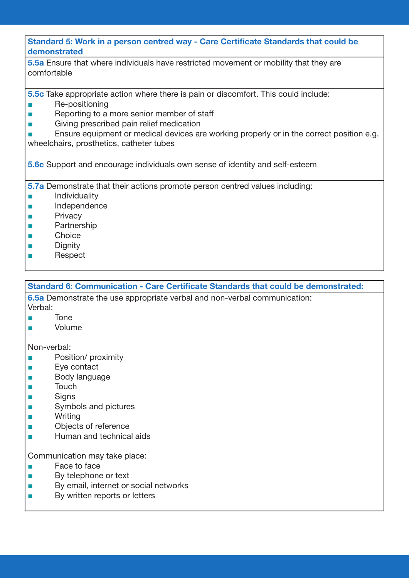#### Standard 5: Work in a person centred way - Care Certificate Standards that could be demonstrated

5.5a Ensure that where individuals have restricted movement or mobility that they are comfortable

5.5c Take appropriate action where there is pain or discomfort. This could include:

- Re-positioning
- Reporting to a more senior member of staff
- Giving prescribed pain relief medication

■ Ensure equipment or medical devices are working properly or in the correct position e.g. wheelchairs, prosthetics, catheter tubes

5.6c Support and encourage individuals own sense of identity and self-esteem

5.7a Demonstrate that their actions promote person centred values including:

- Individuality
- Independence
- Privacy
- **Partnership**
- Choice
- Dignity
- Respect

Standard 6: Communication - Care Certificate Standards that could be demonstrated:

6.5a Demonstrate the use appropriate verbal and non-verbal communication: Verbal:

- Tone
- **Volume**

Non-verbal:

- **Position/ proximity**
- Eve contact
- Body language
- Touch
- Signs
- Symbols and pictures
- Writing
- Objects of reference
- Human and technical aids

Communication may take place:

- Face to face
- By telephone or text
- By email, internet or social networks
- By written reports or letters